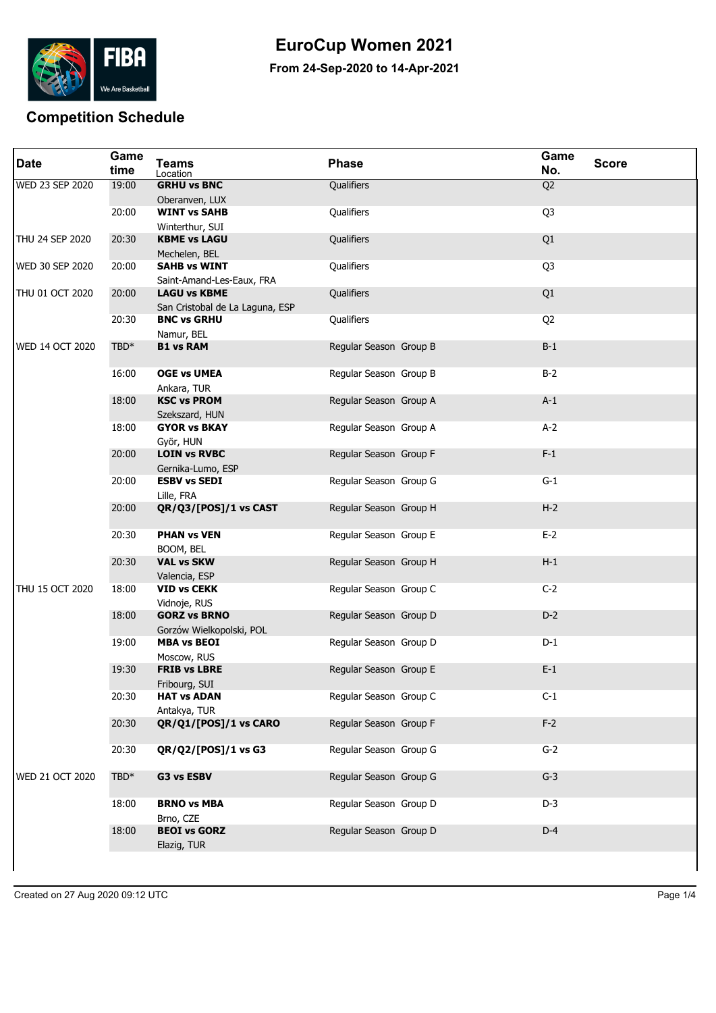

## **EuroCup Women 2021**

**From 24-Sep-2020 to 14-Apr-2021**

## **Competition Schedule**

| <b>Date</b>            | Game<br>time | <b>Teams</b><br>Location               | <b>Phase</b>           | Game<br>No.    | <b>Score</b> |
|------------------------|--------------|----------------------------------------|------------------------|----------------|--------------|
| <b>WED 23 SEP 2020</b> | 19:00        | <b>GRHU vs BNC</b>                     | Qualifiers             | Q <sub>2</sub> |              |
|                        |              | Oberanven, LUX                         |                        |                |              |
|                        | 20:00        | <b>WINT vs SAHB</b>                    | Qualifiers             | Q <sub>3</sub> |              |
|                        | 20:30        | Winterthur, SUI<br><b>KBME vs LAGU</b> | <b>Qualifiers</b>      | Q1             |              |
| THU 24 SEP 2020        |              | Mechelen, BEL                          |                        |                |              |
| <b>WED 30 SEP 2020</b> | 20:00        | <b>SAHB vs WINT</b>                    | Qualifiers             | Q <sub>3</sub> |              |
|                        |              | Saint-Amand-Les-Eaux, FRA              |                        |                |              |
| THU 01 OCT 2020        | 20:00        | <b>LAGU vs KBME</b>                    | Qualifiers             | Q1             |              |
|                        |              | San Cristobal de La Laguna, ESP        |                        |                |              |
|                        | 20:30        | <b>BNC vs GRHU</b>                     | Qualifiers             | Q <sub>2</sub> |              |
|                        |              | Namur, BEL                             |                        |                |              |
| <b>WED 14 OCT 2020</b> | TBD*         | <b>B1 vs RAM</b>                       | Regular Season Group B | $B-1$          |              |
|                        | 16:00        | <b>OGE vs UMEA</b>                     | Regular Season Group B | $B-2$          |              |
|                        |              | Ankara, TUR                            |                        |                |              |
|                        | 18:00        | <b>KSC vs PROM</b>                     | Regular Season Group A | $A-1$          |              |
|                        | 18:00        | Szekszard, HUN<br><b>GYOR vs BKAY</b>  | Regular Season Group A | $A-2$          |              |
|                        |              |                                        |                        |                |              |
|                        | 20:00        | Györ, HUN<br><b>LOIN vs RVBC</b>       | Regular Season Group F | $F-1$          |              |
|                        |              | Gernika-Lumo, ESP                      |                        |                |              |
|                        | 20:00        | <b>ESBV vs SEDI</b>                    | Regular Season Group G | $G-1$          |              |
|                        |              | Lille, FRA                             |                        |                |              |
|                        | 20:00        | QR/Q3/[POS]/1 vs CAST                  | Regular Season Group H | $H-2$          |              |
|                        | 20:30        | <b>PHAN vs VEN</b>                     | Regular Season Group E | $E-2$          |              |
|                        |              | BOOM, BEL                              |                        |                |              |
|                        | 20:30        | <b>VAL vs SKW</b>                      | Regular Season Group H | $H-1$          |              |
|                        |              | Valencia, ESP                          |                        |                |              |
| THU 15 OCT 2020        | 18:00        | <b>VID vs CEKK</b>                     | Regular Season Group C | $C-2$          |              |
|                        | 18:00        | Vidnoje, RUS<br><b>GORZ vs BRNO</b>    | Regular Season Group D | $D-2$          |              |
|                        |              | Gorzów Wielkopolski, POL               |                        |                |              |
|                        | 19:00        | <b>MBA vs BEOI</b>                     | Regular Season Group D | $D-1$          |              |
|                        |              | Moscow, RUS                            |                        |                |              |
|                        | 19:30        | <b>FRIB vs LBRE</b>                    | Regular Season Group E | $E-1$          |              |
|                        |              | Fribourg, SUI                          |                        |                |              |
|                        | 20:30        | <b>HAT vs ADAN</b>                     | Regular Season Group C | $C-1$          |              |
|                        |              | Antakya, TUR                           |                        |                |              |
|                        | 20:30        | QR/Q1/[POS]/1 vs CARO                  | Regular Season Group F | $F-2$          |              |
|                        | 20:30        | QR/Q2/[POS]/1 vs G3                    | Regular Season Group G | $G-2$          |              |
|                        |              |                                        |                        |                |              |
| WED 21 OCT 2020        | $TBD*$       | G3 vs ESBV                             | Regular Season Group G | $G-3$          |              |
|                        | 18:00        | <b>BRNO vs MBA</b>                     | Regular Season Group D | $D-3$          |              |
|                        |              | Brno, CZE                              |                        |                |              |
|                        | 18:00        | <b>BEOI vs GORZ</b>                    | Regular Season Group D | $D-4$          |              |
|                        |              | Elazig, TUR                            |                        |                |              |
|                        |              |                                        |                        |                |              |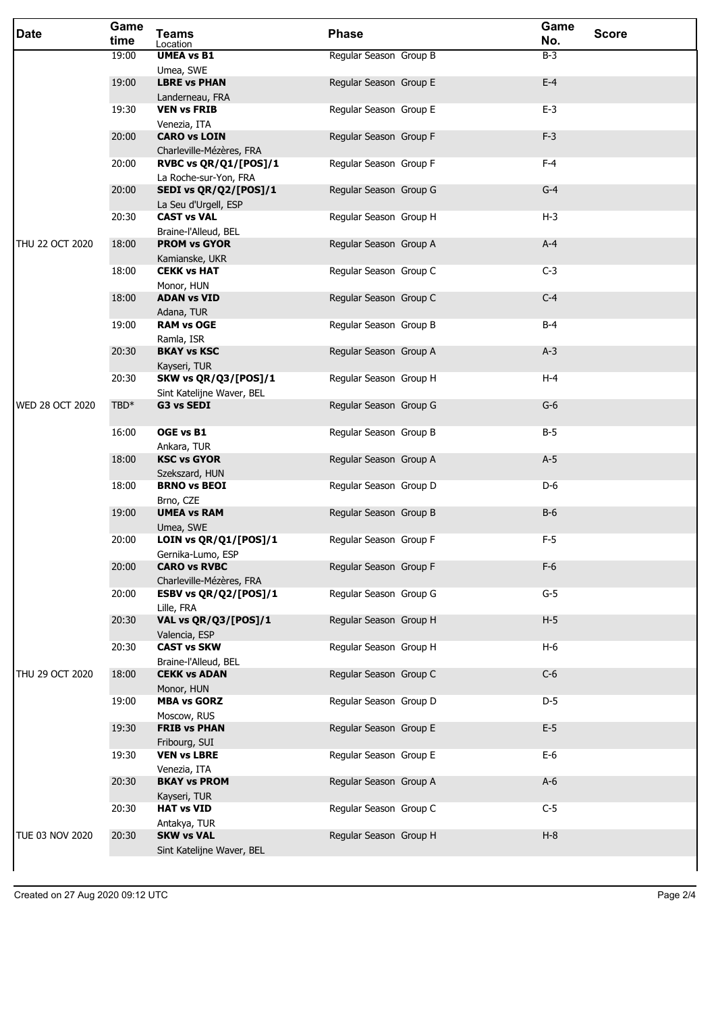| <b>Date</b>            | Game<br>time | <b>Teams</b><br>Location                        | <b>Phase</b>           | Game<br><b>Score</b><br>No. |
|------------------------|--------------|-------------------------------------------------|------------------------|-----------------------------|
|                        | 19:00        | <b>UMEA vs B1</b>                               | Regular Season Group B | $B-3$                       |
|                        | 19:00        | Umea, SWE<br><b>LBRE vs PHAN</b>                | Regular Season Group E | $E-4$                       |
|                        |              | Landerneau, FRA                                 |                        |                             |
|                        | 19:30        | <b>VEN vs FRIB</b>                              | Regular Season Group E | $E-3$                       |
|                        |              | Venezia, ITA                                    |                        |                             |
|                        | 20:00        | <b>CARO vs LOIN</b><br>Charleville-Mézères, FRA | Regular Season Group F | $F-3$                       |
|                        | 20:00        | RVBC vs QR/Q1/[POS]/1                           | Regular Season Group F | $F-4$                       |
|                        |              | La Roche-sur-Yon, FRA                           |                        |                             |
|                        | 20:00        | SEDI vs QR/Q2/[POS]/1                           | Regular Season Group G | $G-4$                       |
|                        | 20:30        | La Seu d'Urgell, ESP<br><b>CAST vs VAL</b>      | Regular Season Group H | $H-3$                       |
|                        |              | Braine-l'Alleud, BEL                            |                        |                             |
| THU 22 OCT 2020        | 18:00        | <b>PROM vs GYOR</b>                             | Regular Season Group A | $A-4$                       |
|                        | 18:00        | Kamianske, UKR<br><b>CEKK vs HAT</b>            | Regular Season Group C | $C-3$                       |
|                        |              | Monor, HUN                                      |                        |                             |
|                        | 18:00        | <b>ADAN vs VID</b>                              | Regular Season Group C | $C-4$                       |
|                        |              | Adana, TUR                                      |                        |                             |
|                        | 19:00        | <b>RAM vs OGE</b><br>Ramla, ISR                 | Regular Season Group B | B-4                         |
|                        | 20:30        | <b>BKAY vs KSC</b>                              | Regular Season Group A | $A-3$                       |
|                        |              | Kayseri, TUR                                    |                        |                             |
|                        | 20:30        | <b>SKW vs QR/Q3/[POS]/1</b>                     | Regular Season Group H | $H-4$                       |
| <b>WED 28 OCT 2020</b> | TBD*         | Sint Katelijne Waver, BEL<br>G3 vs SEDI         | Regular Season Group G | $G-6$                       |
|                        |              |                                                 |                        |                             |
|                        | 16:00        | OGE vs B1                                       | Regular Season Group B | $B-5$                       |
|                        | 18:00        | Ankara, TUR<br><b>KSC vs GYOR</b>               | Regular Season Group A | $A-5$                       |
|                        |              | Szekszard, HUN                                  |                        |                             |
|                        | 18:00        | <b>BRNO vs BEOI</b>                             | Regular Season Group D | D-6                         |
|                        | 19:00        | Brno, CZE<br><b>UMEA vs RAM</b>                 | Regular Season Group B | $B-6$                       |
|                        |              | Umea, SWE                                       |                        |                             |
|                        | 20:00        | LOIN vs QR/Q1/[POS]/1                           | Regular Season Group F | $F-5$                       |
|                        |              | Gernika-Lumo, ESP                               |                        | $F-6$                       |
|                        | 20:00        | <b>CARO vs RVBC</b><br>Charleville-Mézères, FRA | Regular Season Group F |                             |
|                        | 20:00        | ESBV vs QR/Q2/[POS]/1                           | Regular Season Group G | $G-5$                       |
|                        |              | Lille, FRA                                      |                        |                             |
|                        | 20:30        | VAL vs QR/Q3/[POS]/1<br>Valencia, ESP           | Regular Season Group H | $H-5$                       |
|                        | 20:30        | <b>CAST vs SKW</b>                              | Regular Season Group H | $H-6$                       |
|                        |              | Braine-l'Alleud, BEL                            |                        |                             |
| THU 29 OCT 2020        | 18:00        | <b>CEKK vs ADAN</b>                             | Regular Season Group C | $C-6$                       |
|                        | 19:00        | Monor, HUN<br><b>MBA vs GORZ</b>                | Regular Season Group D | $D-5$                       |
|                        |              | Moscow, RUS                                     |                        |                             |
|                        | 19:30        | <b>FRIB vs PHAN</b>                             | Regular Season Group E | $E-5$                       |
|                        | 19:30        | Fribourg, SUI<br><b>VEN vs LBRE</b>             | Regular Season Group E | $E-6$                       |
|                        |              | Venezia, ITA                                    |                        |                             |
|                        | 20:30        | <b>BKAY vs PROM</b>                             | Regular Season Group A | $A-6$                       |
|                        |              | Kayseri, TUR                                    |                        |                             |
|                        | 20:30        | <b>HAT vs VID</b><br>Antakya, TUR               | Regular Season Group C | $C-5$                       |
| TUE 03 NOV 2020        | 20:30        | <b>SKW vs VAL</b>                               | Regular Season Group H | $H-8$                       |
|                        |              | Sint Katelijne Waver, BEL                       |                        |                             |
|                        |              |                                                 |                        |                             |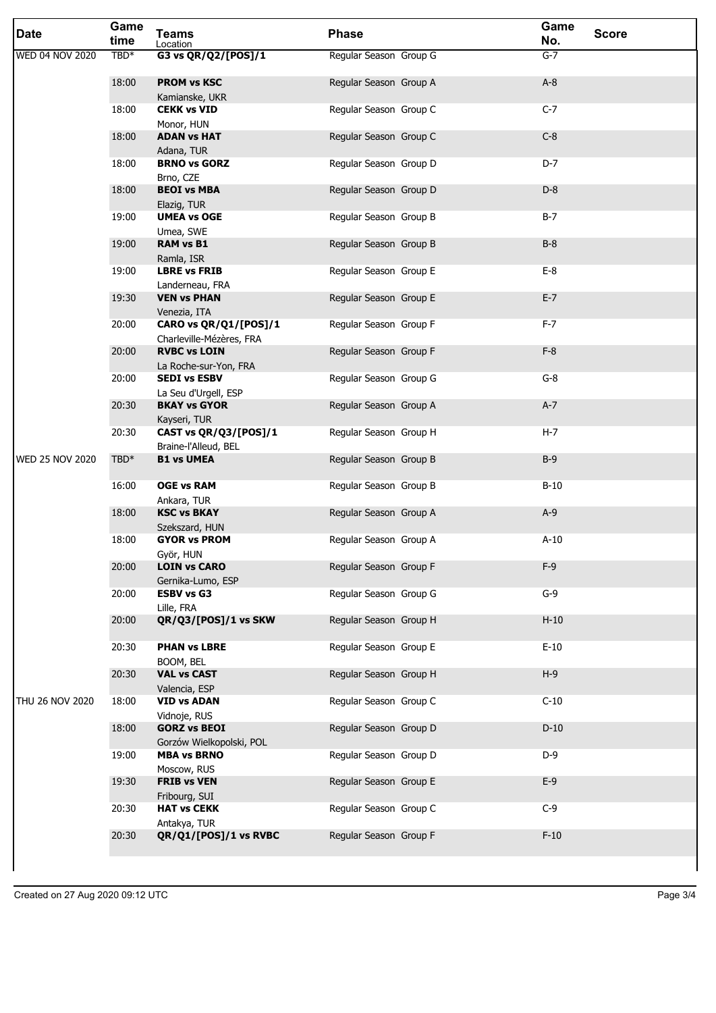| <b>Date</b>            | Game<br>time     | <b>Teams</b><br>Location                          | <b>Phase</b>           | Game<br>No. | <b>Score</b> |
|------------------------|------------------|---------------------------------------------------|------------------------|-------------|--------------|
| WED 04 NOV 2020        | TBD <sup>*</sup> | G3 vs QR/Q2/[POS]/1                               | Regular Season Group G | $G-7$       |              |
|                        | 18:00            | <b>PROM vs KSC</b><br>Kamianske, UKR              | Regular Season Group A | $A-8$       |              |
|                        | 18:00            | <b>CEKK vs VID</b><br>Monor, HUN                  | Regular Season Group C | $C-7$       |              |
|                        | 18:00            | <b>ADAN vs HAT</b><br>Adana, TUR                  | Regular Season Group C | $C-8$       |              |
|                        | 18:00            | <b>BRNO vs GORZ</b><br>Brno, CZE                  | Regular Season Group D | $D-7$       |              |
|                        | 18:00            | <b>BEOI vs MBA</b><br>Elazig, TUR                 | Regular Season Group D | $D-8$       |              |
|                        | 19:00            | <b>UMEA vs OGE</b><br>Umea, SWE                   | Regular Season Group B | $B-7$       |              |
|                        | 19:00            | <b>RAM vs B1</b><br>Ramla, ISR                    | Regular Season Group B | $B-8$       |              |
|                        | 19:00            | <b>LBRE vs FRIB</b><br>Landerneau, FRA            | Regular Season Group E | $E-8$       |              |
|                        | 19:30            | <b>VEN vs PHAN</b><br>Venezia, ITA                | Regular Season Group E | $E-7$       |              |
|                        | 20:00            | CARO vs QR/Q1/[POS]/1<br>Charleville-Mézères, FRA | Regular Season Group F | $F-7$       |              |
|                        | 20:00            | <b>RVBC vs LOIN</b><br>La Roche-sur-Yon, FRA      | Regular Season Group F | $F-8$       |              |
|                        | 20:00            | <b>SEDI vs ESBV</b><br>La Seu d'Urgell, ESP       | Regular Season Group G | $G-8$       |              |
|                        | 20:30            | <b>BKAY vs GYOR</b><br>Kayseri, TUR               | Regular Season Group A | $A-7$       |              |
|                        | 20:30            | CAST vs QR/Q3/[POS]/1<br>Braine-l'Alleud, BEL     | Regular Season Group H | $H-7$       |              |
| <b>WED 25 NOV 2020</b> | TBD*             | <b>B1 vs UMEA</b>                                 | Regular Season Group B | $B-9$       |              |
|                        | 16:00            | <b>OGE vs RAM</b><br>Ankara, TUR                  | Regular Season Group B | $B-10$      |              |
|                        | 18:00            | <b>KSC vs BKAY</b><br>Szekszard, HUN              | Regular Season Group A | $A-9$       |              |
|                        | 18:00            | <b>GYOR vs PROM</b><br>Györ, HUN                  | Regular Season Group A | $A-10$      |              |
|                        | 20:00            | <b>LOIN vs CARO</b><br>Gernika-Lumo, ESP          | Regular Season Group F | $F-9$       |              |
|                        | 20:00            | <b>ESBV vs G3</b><br>Lille, FRA                   | Regular Season Group G | $G-9$       |              |
|                        | 20:00            | QR/Q3/[POS]/1 vs SKW                              | Regular Season Group H | $H-10$      |              |
|                        | 20:30            | <b>PHAN vs LBRE</b><br>BOOM, BEL                  | Regular Season Group E | $E-10$      |              |
|                        | 20:30            | <b>VAL vs CAST</b><br>Valencia, ESP               | Regular Season Group H | $H-9$       |              |
| THU 26 NOV 2020        | 18:00            | <b>VID vs ADAN</b><br>Vidnoje, RUS                | Regular Season Group C | $C-10$      |              |
|                        | 18:00            | <b>GORZ vs BEOI</b><br>Gorzów Wielkopolski, POL   | Regular Season Group D | $D-10$      |              |
|                        | 19:00            | <b>MBA vs BRNO</b><br>Moscow, RUS                 | Regular Season Group D | $D-9$       |              |
|                        | 19:30            | <b>FRIB vs VEN</b><br>Fribourg, SUI               | Regular Season Group E | $E-9$       |              |
|                        | 20:30            | <b>HAT vs CEKK</b><br>Antakya, TUR                | Regular Season Group C | $C-9$       |              |
|                        | 20:30            | QR/Q1/[POS]/1 vs RVBC                             | Regular Season Group F | $F-10$      |              |
|                        |                  |                                                   |                        |             |              |